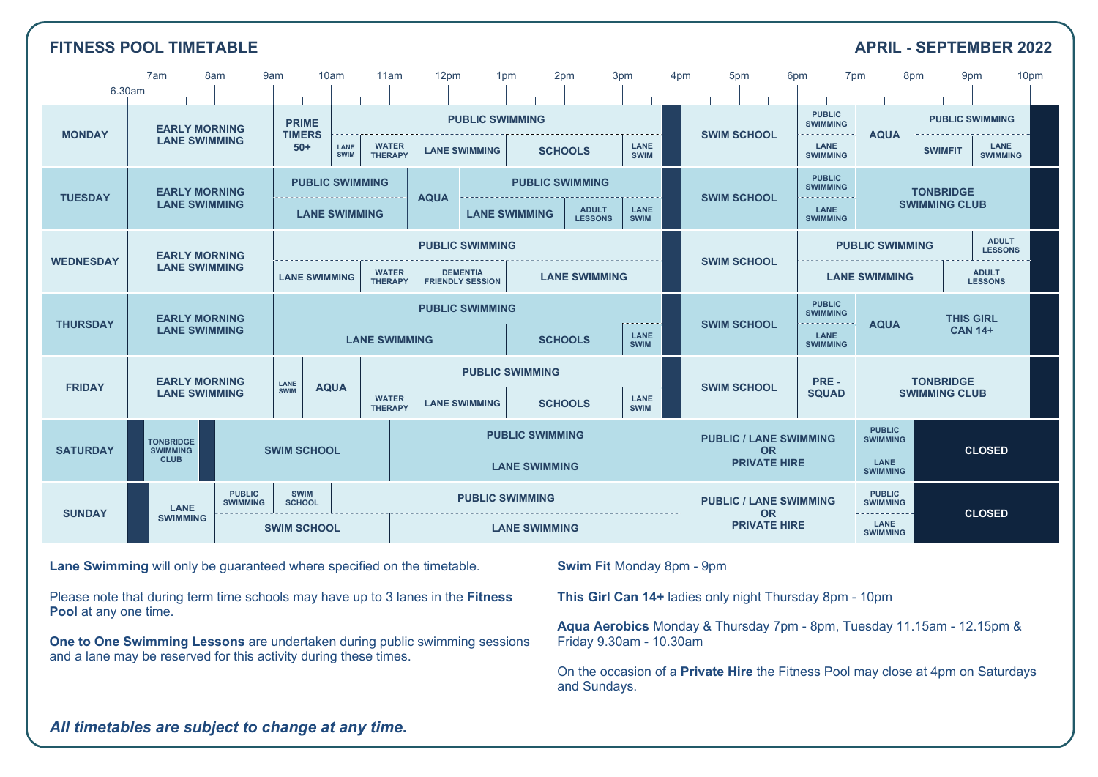| <b>FITNESS POOL TIMETABLE</b><br><b>APRIL - SEPTEMBER 2022</b> |                                                                                                |                                                                                        |                                                                                                |                                                                                                                                |                                                        |                                                |                                                |                                |                     |                                                                   |                                                                                        |                                                   |                                                                  |                                          |                                                                  |                                                   |  |
|----------------------------------------------------------------|------------------------------------------------------------------------------------------------|----------------------------------------------------------------------------------------|------------------------------------------------------------------------------------------------|--------------------------------------------------------------------------------------------------------------------------------|--------------------------------------------------------|------------------------------------------------|------------------------------------------------|--------------------------------|---------------------|-------------------------------------------------------------------|----------------------------------------------------------------------------------------|---------------------------------------------------|------------------------------------------------------------------|------------------------------------------|------------------------------------------------------------------|---------------------------------------------------|--|
| 7am<br>8am<br>10am<br>11am<br>9am<br>6.30am                    |                                                                                                |                                                                                        |                                                                                                |                                                                                                                                |                                                        | 12pm                                           | 1 <sub>pm</sub>                                | 2pm                            | 3pm                 | 4pm                                                               | 5 <sub>pm</sub>                                                                        |                                                   | 6 <sub>pm</sub>                                                  | 7 <sub>pm</sub>                          | 8pm                                                              | 9pm<br>10 <sub>pm</sub>                           |  |
| <b>MONDAY</b>                                                  | <b>EARLY MORNING</b><br><b>LANE SWIMMING</b>                                                   |                                                                                        | <b>PRIME</b><br><b>TIMERS</b><br>$50+$                                                         | <b>WATER</b><br>LANE<br>SWIM<br><b>THERAPY</b>                                                                                 |                                                        | <b>PUBLIC SWIMMING</b><br><b>LANE SWIMMING</b> |                                                | <b>SCHOOLS</b>                 | LANE<br><b>SWIM</b> |                                                                   | <b>SWIM SCHOOL</b>                                                                     |                                                   | <b>PUBLIC</b><br><b>SWIMMING</b><br>.<br>LANE<br><b>SWIMMING</b> | <b>AQUA</b>                              | <b>SWIMFIT</b>                                                   | <b>PUBLIC SWIMMING</b><br>LANE<br><b>SWIMMING</b> |  |
| <b>TUESDAY</b>                                                 | <b>PUBLIC SWIMMING</b><br><b>EARLY MORNING</b><br><b>LANE SWIMMING</b><br><b>LANE SWIMMING</b> |                                                                                        |                                                                                                |                                                                                                                                | <b>AQUA</b>                                            |                                                | <b>PUBLIC SWIMMING</b><br><b>LANE SWIMMING</b> | <b>ADULT</b><br><b>LESSONS</b> | LANE<br><b>SWIM</b> |                                                                   | <b>PUBLIC</b><br><b>SWIMMING</b><br><b>SWIM SCHOOL</b><br>.<br>LANE<br><b>SWIMMING</b> |                                                   |                                                                  | <b>TONBRIDGE</b><br><b>SWIMMING CLUB</b> |                                                                  |                                                   |  |
| <b>WEDNESDAY</b>                                               | <b>EARLY MORNING</b><br><b>LANE SWIMMING</b>                                                   |                                                                                        | <b>LANE SWIMMING</b>                                                                           | <b>PUBLIC SWIMMING</b><br><b>DEMENTIA</b><br><b>WATER</b><br><b>LANE SWIMMING</b><br><b>THERAPY</b><br><b>FRIENDLY SESSION</b> |                                                        |                                                |                                                |                                |                     | <b>SWIM SCHOOL</b>                                                |                                                                                        |                                                   | <b>PUBLIC SWIMMING</b><br><b>LANE SWIMMING</b>                   |                                          | <b>ADULT</b><br><b>LESSONS</b><br><b>ADULT</b><br><b>LESSONS</b> |                                                   |  |
| <b>THURSDAY</b>                                                | <b>EARLY MORNING</b><br><b>LANE SWIMMING</b>                                                   |                                                                                        | <b>PUBLIC SWIMMING</b><br><b>LANE</b><br><b>SCHOOLS</b><br><b>LANE SWIMMING</b><br><b>SWIM</b> |                                                                                                                                |                                                        |                                                |                                                |                                | <b>SWIM SCHOOL</b>  |                                                                   | <b>PUBLIC</b><br><b>SWIMMING</b><br>.<br>LANE<br><b>SWIMMING</b>                       | <b>THIS GIRL</b><br><b>AQUA</b><br><b>CAN 14+</b> |                                                                  |                                          |                                                                  |                                                   |  |
| <b>FRIDAY</b>                                                  | <b>EARLY MORNING</b><br><b>LANE SWIMMING</b>                                                   |                                                                                        | LANE<br><b>SWIM</b>                                                                            | <b>AQUA</b>                                                                                                                    | <b>WATER</b><br><b>LANE SWIMMING</b><br><b>THERAPY</b> |                                                | <b>PUBLIC SWIMMING</b><br><b>SCHOOLS</b>       |                                | LANE<br><b>SWIM</b> |                                                                   | <b>SWIM SCHOOL</b>                                                                     |                                                   | PRE -<br><b>SQUAD</b>                                            | <b>TONBRIDGE</b><br><b>SWIMMING CLUB</b> |                                                                  |                                                   |  |
| <b>SATURDAY</b>                                                | <b>TONBRIDGE</b><br><b>SWIMMING</b><br><b>SWIM SCHOOL</b><br><b>CLUB</b>                       |                                                                                        |                                                                                                |                                                                                                                                | <b>PUBLIC SWIMMING</b><br><b>LANE SWIMMING</b>         |                                                |                                                |                                |                     | <b>PUBLIC / LANE SWIMMING</b><br><b>OR</b><br><b>PRIVATE HIRE</b> |                                                                                        |                                                   | <b>PUBLIC</b><br><b>SWIMMING</b><br>.<br>LANE<br><b>SWIMMING</b> | <b>CLOSED</b>                            |                                                                  |                                                   |  |
| <b>SUNDAY</b>                                                  | <b>LANE</b><br><b>SWIMMING</b>                                                                 | <b>PUBLIC</b><br><b>SWIM</b><br><b>SWIMMING</b><br><b>SCHOOL</b><br><b>SWIM SCHOOL</b> |                                                                                                |                                                                                                                                | <b>PUBLIC SWIMMING</b><br><b>LANE SWIMMING</b>         |                                                |                                                |                                |                     | <b>PUBLIC / LANE SWIMMING</b><br><b>OR</b><br><b>PRIVATE HIRE</b> |                                                                                        |                                                   | <b>PUBLIC</b><br><b>SWIMMING</b><br>LANE<br><b>SWIMMING</b>      | <b>CLOSED</b>                            |                                                                  |                                                   |  |

**Lane Swimming** will only be guaranteed where specified on the timetable.

Please note that during term time schools may have up to 3 lanes in the **Fitness Pool** at any one time.

**One to One Swimming Lessons** are undertaken during public swimming sessions and a lane may be reserved for this activity during these times.

**Swim Fit** Monday 8pm - 9pm

**This Girl Can 14+** ladies only night Thursday 8pm - 10pm

**Aqua Aerobics** Monday & Thursday 7pm - 8pm, Tuesday 11.15am - 12.15pm & Friday 9.30am - 10.30am

On the occasion of a **Private Hire** the Fitness Pool may close at 4pm on Saturdays and Sundays.

*All timetables are subject to change at any time***.**